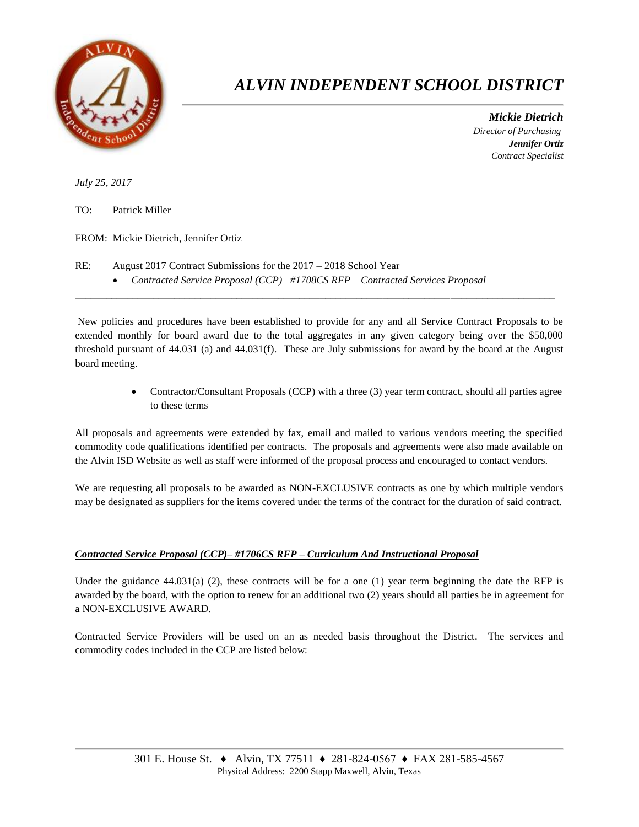

## *ALVIN INDEPENDENT SCHOOL DISTRICT*

 *Mickie Dietrich Director of Purchasing Jennifer Ortiz Contract Specialist*

*July 25, 2017*

TO: Patrick Miller

FROM: Mickie Dietrich, Jennifer Ortiz

- RE: August 2017 Contract Submissions for the 2017 2018 School Year
	- *Contracted Service Proposal (CCP)– #1708CS RFP – Contracted Services Proposal*

New policies and procedures have been established to provide for any and all Service Contract Proposals to be extended monthly for board award due to the total aggregates in any given category being over the \$50,000 threshold pursuant of 44.031 (a) and 44.031(f). These are July submissions for award by the board at the August board meeting.

 $\overline{a}$  , and the state of the state of the state of the state of the state of the state of the state of the state of the state of the state of the state of the state of the state of the state of the state of the state o

 Contractor/Consultant Proposals (CCP) with a three (3) year term contract, should all parties agree to these terms

All proposals and agreements were extended by fax, email and mailed to various vendors meeting the specified commodity code qualifications identified per contracts. The proposals and agreements were also made available on the Alvin ISD Website as well as staff were informed of the proposal process and encouraged to contact vendors.

We are requesting all proposals to be awarded as NON-EXCLUSIVE contracts as one by which multiple vendors may be designated as suppliers for the items covered under the terms of the contract for the duration of said contract.

## *Contracted Service Proposal (CCP)– #1706CS RFP – Curriculum And Instructional Proposal*

Under the guidance  $44.031(a)$  (2), these contracts will be for a one (1) year term beginning the date the RFP is awarded by the board, with the option to renew for an additional two (2) years should all parties be in agreement for a NON-EXCLUSIVE AWARD.

Contracted Service Providers will be used on an as needed basis throughout the District. The services and commodity codes included in the CCP are listed below: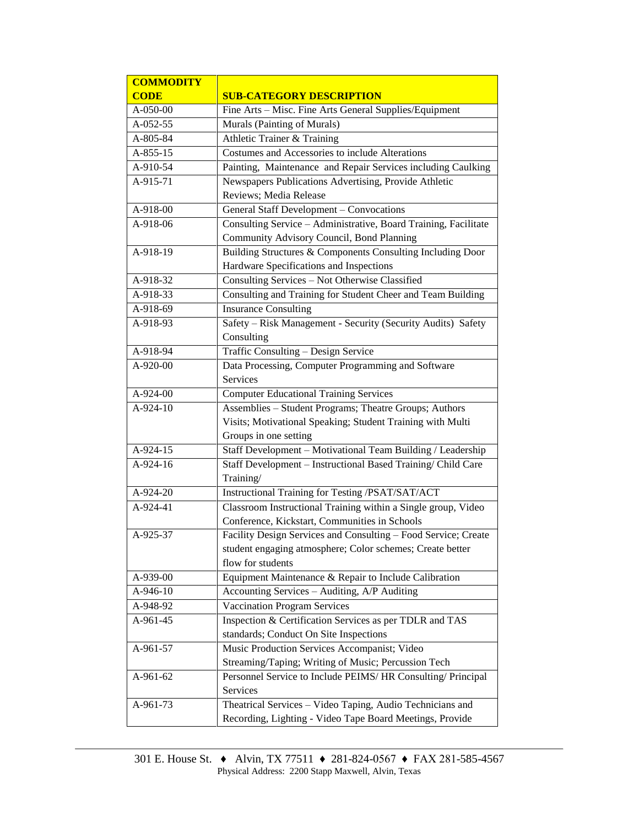| <b>COMMODITY</b> |                                                                 |  |  |  |
|------------------|-----------------------------------------------------------------|--|--|--|
| <b>CODE</b>      | <b>SUB-CATEGORY DESCRIPTION</b>                                 |  |  |  |
| A-050-00         | Fine Arts - Misc. Fine Arts General Supplies/Equipment          |  |  |  |
| A-052-55         | Murals (Painting of Murals)                                     |  |  |  |
| A-805-84         | Athletic Trainer & Training                                     |  |  |  |
| $A-855-15$       | Costumes and Accessories to include Alterations                 |  |  |  |
| A-910-54         | Painting, Maintenance and Repair Services including Caulking    |  |  |  |
| A-915-71         | Newspapers Publications Advertising, Provide Athletic           |  |  |  |
|                  | Reviews; Media Release                                          |  |  |  |
| A-918-00         | General Staff Development - Convocations                        |  |  |  |
| A-918-06         | Consulting Service - Administrative, Board Training, Facilitate |  |  |  |
|                  | Community Advisory Council, Bond Planning                       |  |  |  |
| A-918-19         | Building Structures & Components Consulting Including Door      |  |  |  |
|                  | Hardware Specifications and Inspections                         |  |  |  |
| A-918-32         | Consulting Services - Not Otherwise Classified                  |  |  |  |
| A-918-33         | Consulting and Training for Student Cheer and Team Building     |  |  |  |
| A-918-69         | <b>Insurance Consulting</b>                                     |  |  |  |
| A-918-93         | Safety - Risk Management - Security (Security Audits) Safety    |  |  |  |
|                  | Consulting                                                      |  |  |  |
| A-918-94         | Traffic Consulting - Design Service                             |  |  |  |
| A-920-00         | Data Processing, Computer Programming and Software              |  |  |  |
|                  | Services                                                        |  |  |  |
| $A-924-00$       | <b>Computer Educational Training Services</b>                   |  |  |  |
| A-924-10         | Assemblies - Student Programs; Theatre Groups; Authors          |  |  |  |
|                  | Visits; Motivational Speaking; Student Training with Multi      |  |  |  |
|                  | Groups in one setting                                           |  |  |  |
| A-924-15         | Staff Development - Motivational Team Building / Leadership     |  |  |  |
| A-924-16         | Staff Development - Instructional Based Training/ Child Care    |  |  |  |
|                  | Training/                                                       |  |  |  |
| A-924-20         | Instructional Training for Testing /PSAT/SAT/ACT                |  |  |  |
| A-924-41         | Classroom Instructional Training within a Single group, Video   |  |  |  |
|                  | Conference, Kickstart, Communities in Schools                   |  |  |  |
| A-925-37         | Facility Design Services and Consulting - Food Service; Create  |  |  |  |
|                  | student engaging atmosphere; Color schemes; Create better       |  |  |  |
|                  | flow for students                                               |  |  |  |
| A-939-00         | Equipment Maintenance & Repair to Include Calibration           |  |  |  |
| A-946-10         | Accounting Services - Auditing, A/P Auditing                    |  |  |  |
| A-948-92         | <b>Vaccination Program Services</b>                             |  |  |  |
| A-961-45         | Inspection & Certification Services as per TDLR and TAS         |  |  |  |
|                  | standards; Conduct On Site Inspections                          |  |  |  |
| A-961-57         | Music Production Services Accompanist; Video                    |  |  |  |
|                  | Streaming/Taping; Writing of Music; Percussion Tech             |  |  |  |
| A-961-62         | Personnel Service to Include PEIMS/HR Consulting/ Principal     |  |  |  |
|                  | Services                                                        |  |  |  |
| A-961-73         | Theatrical Services - Video Taping, Audio Technicians and       |  |  |  |
|                  | Recording, Lighting - Video Tape Board Meetings, Provide        |  |  |  |